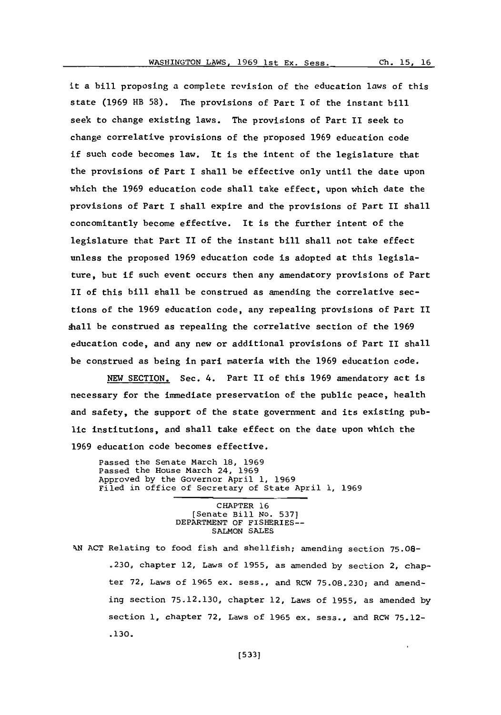it a bill proposing a complete revision of the education laws of this state **(1969** HB **58).** The provisions of Part **I** of the instant bill seek to change existing laws. The provisions of Part II seek to change correlative provisions of the proposed **1969** education code if such code becomes law. It is the intent of the legislature that the provisions of Part I shall be effective only until the date upon which the **1969** education code shall take effect, upon which date the provisions of Part I shall expire and the provisions of Part II shall concomitantly become effective. It is the further intent of the legislature that Part II of the instant bill shall not take effect unless the proposed **1969** education code is adopted at this legislature, but if such event occurs then any amendatory provisions of Part II of this bill shall be construed as amending the correlative sections of the **1969** education code, any repealing provisions of Part II shall be construed as repealing the correlative section of the **1969** education code, and any new or additional provisions of Part II shall be construed as being in pani materia with the **1969** education code.

**NEW** SECTION. Sec. 4. Part II of this **1969** amendatory act is necessary for the immediate preservation of the public peace, health and safety, the support of the state government and its existing public institutions, and shall take effect on the date upon which the **1969** education code becomes effective.

Passed the Senate March **18, 1969** Passed the House March 24, **1969** Approved **by** the Governor April **1, 1969** Filed in office of Secretary of State April **1, 1969**

> CHAPTER **16** [Senate Bill No. **537]** DEPARTMENT OF FISHERIES-- **SALMON SALES**

**XN ACT** Relating to food fish and shellfish; amending section **75.08- .230,** chapter 12, Laws of **1955,** as amended **by** section 2, chapter **72,** Laws of **1965** ex. sess., and RCW **75.08.230;** and amending section **75.12.130,** chapter 12, Laws of **1955,** as amended **by** section **1,** chapter **72,** Laws of **1965** ex. sess., and RCW **75.12- .130.**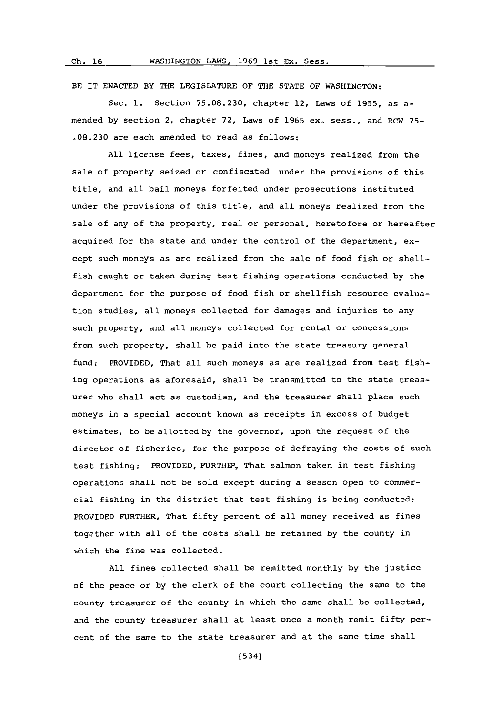BE IT **ENACTED** BY THE LEGISLATURE OF THE **STATE** OF WASHINGTON:

Sec. **1.** Section **75.08.230,** chapter 12, Laws of **1955,** as amended **by** section 2, chapter **72,** Laws of **1965** ex. sess., and RCW **75- .08.230** are each amended to read as follows:

**All** license fees, taxes, fines, and moneys realized from the sale of property seized or confiscated under the provisions of this title, and all bail moneys forfeited under prosecutions instituted under the provisions of this title, and all moneys realized from the sale of any of the property, real or personal, heretofore or hereafter acquired for the state and under the control of the department, except such moneys as are realized from the sale of food fish or shellfish caught or taken during test fishing operations conducted **by** the department for the purpose of food fish or shellfish resource evaluation studies, all moneys collected for damages and injuries to any such property, and all moneys collected for rental or concessions from such property, shall be paid into the state treasury general fund: PROVIDED, That all such moneys as are realized from test fishing operations as aforesaid, shall be transmitted to the state treasurer who shall act as custodian, and the treasurer shall place such moneys in a special account known as receipts in excess of budget estimates, to be allotted **by** the governor, upon the request of the director of fisheries, for the purpose of defraying the costs of such test fishing; PROVIDED, FURTHER, That salmon taken in test fishing operations shall not be sold except during a season open to commercial fishing in the district that test fishing is being conducted: PROVIDED FURTHER, That fifty percent of all money received as fines together with all of the costs shall be retained **by** the county in which the fine was collected.

**All** fines collected shall be remitted monthly **by** the justice of the peace or **by** the clerk of the court collecting the same to the county treasurer of the county in which the same shall be collected, and the county treasurer shall at least once a month remit fifty percent of the same to the state treasurer and at the same time shall

[5341